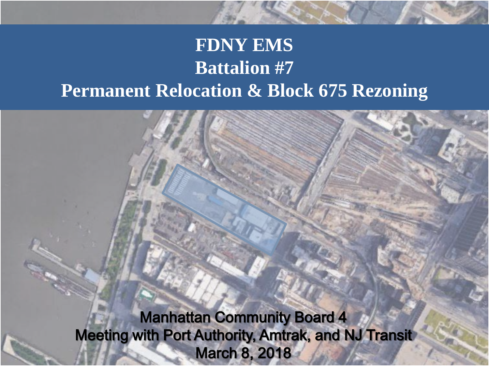## **FDNY EMS** Relocation & Block 6 **Battalion #7 Permanent Relocation & Block 675 Rezoning**

Manhattan Community Board 4 Meeting with Port Authority, Amtrak, and NJ Transit March 8, 2018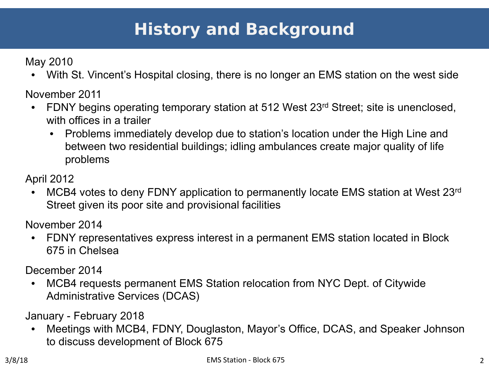# **History and Background**

May 2010

• With St. Vincent's Hospital closing, there is no longer an EMS station on the west side

November 2011

- FDNY begins operating temporary station at 512 West 23<sup>rd</sup> Street; site is unenclosed, with offices in a trailer
	- Problems immediately develop due to station's location under the High Line and between two residential buildings; idling ambulances create major quality of life problems

April 2012

• MCB4 votes to deny FDNY application to permanently locate EMS station at West 23<sup>rd</sup> Street given its poor site and provisional facilities

November 2014

• FDNY representatives express interest in a permanent EMS station located in Block 675 in Chelsea

December 2014

• MCB4 requests permanent EMS Station relocation from NYC Dept. of Citywide Administrative Services (DCAS)

January - February 2018

• Meetings with MCB4, FDNY, Douglaston, Mayor's Office, DCAS, and Speaker Johnson to discuss development of Block 675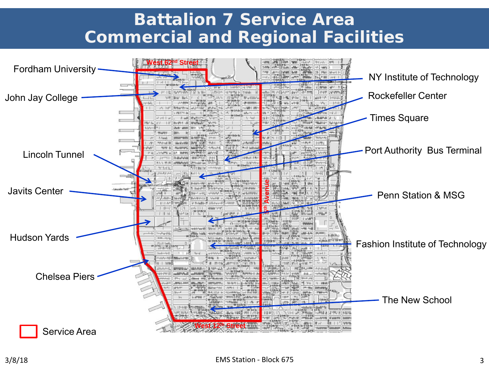## **Battalion 7 Service Area Commercial and Regional Facilities**

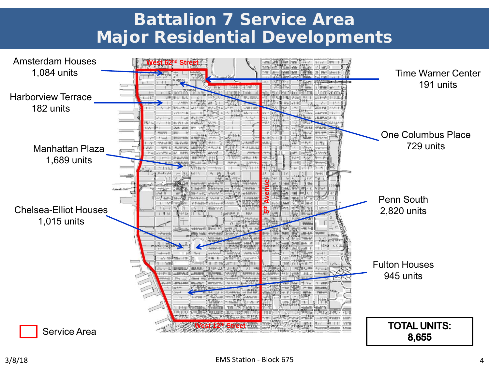## **Battalion 7 Service Area Major Residential Developments**

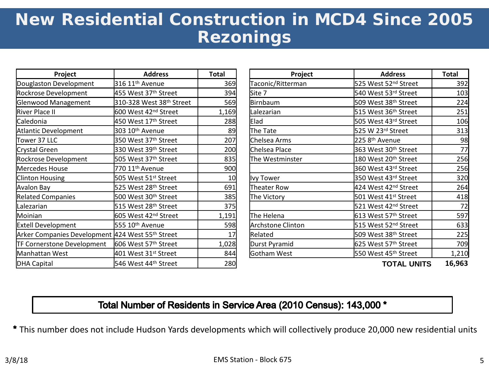# **New Residential Construction in MCD4 Since 2005 Rezonings**

| Project                                          | <b>Address</b>                   | Total | Project           | <b>Address</b>                   | <b>Total</b> |
|--------------------------------------------------|----------------------------------|-------|-------------------|----------------------------------|--------------|
| Douglaston Development                           | 316 11 <sup>th</sup> Avenue      | 369   | Taconic/Ritterman | 525 West 52 <sup>nd</sup> Street | 392          |
| Rockrose Development                             | 455 West 37 <sup>th</sup> Street | 394   | Site 7            | 540 West 53rd Street             | 103          |
| Glenwood Management                              | 310-328 West 38th Street         | 569   | Birnbaum          | 509 West 38 <sup>th</sup> Street | 224          |
| River Place II                                   | 600 West 42 <sup>nd</sup> Street | 1,169 | Lalezarian        | 515 West 36 <sup>th</sup> Street | 251          |
| Caledonia                                        | 450 West 17 <sup>th</sup> Street | 288   | Elad              | 505 West 43rd Street             | 106          |
| Atlantic Development                             | 303 10 <sup>th</sup> Avenue      | 89    | The Tate          | 525 W 23rd Street                | 313          |
| Tower 37 LLC                                     | 350 West 37th Street             | 207   | Chelsea Arms      | 225 8 <sup>th</sup> Avenue       | 98           |
| Crystal Green                                    | 330 West 39th Street             | 200   | Chelsea Place     | 363 West 30 <sup>th</sup> Street | 77           |
| Rockrose Development                             | 505 West 37th Street             | 835   | The Westminster   | 180 West 20 <sup>th</sup> Street | 256          |
| Mercedes House                                   | 770 11 <sup>th</sup> Avenue      | 900   |                   | 360 West 43rd Street             | 256          |
| Clinton Housing                                  | 505 West 51 <sup>st</sup> Street | 10    | Ivy Tower         | 350 West 43rd Street             | 320          |
| Avalon Bay                                       | 525 West 28 <sup>th</sup> Street | 691   | Theater Row       | 424 West 42 <sup>nd</sup> Street | 264          |
| <b>Related Companies</b>                         | 500 West 30 <sup>th</sup> Street | 385   | The Victory       | 501 West 41 <sup>st</sup> Street | 418          |
| Lalezarian                                       | 515 West 28 <sup>th</sup> Street | 375   |                   | 521 West 42 <sup>nd</sup> Street | 72           |
| Moinian                                          | 605 West 42 <sup>nd</sup> Street | 1,191 | The Helena        | 613 West 57 <sup>th</sup> Street | 597          |
| <b>Extell Development</b>                        | 555 10 <sup>th</sup> Avenue      | 598   | Archstone Clinton | 515 West 52 <sup>nd</sup> Street | 633          |
| Arker Companies Development 424 West 55th Street |                                  | 17    | Related           | 509 West 38 <sup>th</sup> Street | 225          |
| TF Cornerstone Development                       | 606 West 57th Street             | 1,028 | Durst Pyramid     | 625 West 57 <sup>th</sup> Street | 709          |
| Manhattan West                                   | 401 West 31st Street             | 844   | Gotham West       | 550 West 45th Street             | 1,210        |
| DHA Capital                                      | 546 West 44 <sup>th</sup> Street | 280   |                   | <b>TOTAL UNITS</b>               | 16,963       |

| Project                                 | <b>Address</b>                                      | Total      | Project           | <b>Address</b>                   | <b>Total</b> |
|-----------------------------------------|-----------------------------------------------------|------------|-------------------|----------------------------------|--------------|
| Development                             | 316 11 <sup>th</sup> Avenue                         | 369        | Taconic/Ritterman | 525 West 52 <sup>nd</sup> Street | 392          |
| velopment                               | 455 West 37 <sup>th</sup> Street                    |            | Site 7            | 540 West 53rd Street             | 103          |
| lanagement                              | 310-328 West 38th Street                            | 394<br>569 | Birnbaum          | 509 West 38 <sup>th</sup> Street | 224          |
|                                         | 600 West 42 <sup>nd</sup> Street                    | 1,169      | Lalezarian        | 515 West 36 <sup>th</sup> Street | 251          |
|                                         | 450 West 17 <sup>th</sup> Street                    | 288        | Elad              | 505 West 43rd Street             | 106          |
| 303 10 <sup>th</sup> Avenue<br>elopment |                                                     | 89         | The Tate          | 525 W 23rd Street                | 313          |
|                                         | 350 West 37th Street                                | 207        | Chelsea Arms      | 225 8 <sup>th</sup> Avenue       | 98           |
| n.                                      | 330 West 39th Street                                | 200        | Chelsea Place     | 363 West 30 <sup>th</sup> Street | 77           |
| velopment                               | 505 West 37th Street                                | 835        | The Westminster   | 180 West 20 <sup>th</sup> Street | 256          |
| ouse                                    | 770 11 <sup>th</sup> Avenue                         | 900        |                   | 360 West 43rd Street             | 256          |
| sing                                    | 505 West 51st Street                                | 10         | <b>Ivy Tower</b>  | 350 West 43rd Street             | 320          |
|                                         | 525 West 28 <sup>th</sup> Street                    | 691        | Theater Row       | 424 West 42 <sup>nd</sup> Street | 264          |
| <b>panies</b>                           | 500 West 30 <sup>th</sup> Street                    | 385        | The Victory       | 501 West 41st Street             | 418          |
|                                         | 515 West 28 <sup>th</sup> Street                    | 375        |                   | 521 West 42 <sup>nd</sup> Street | 72           |
|                                         | 605 West 42 <sup>nd</sup> Street                    | 1,191      | The Helena        | 613 West 57 <sup>th</sup> Street | 597          |
| ppment                                  | 555 10 <sup>th</sup> Avenue                         | 598        | Archstone Clinton | 515 West 52 <sup>nd</sup> Street | 633          |
|                                         | anies Development  424 West 55 <sup>th</sup> Street |            | Related           | 509 West 38 <sup>th</sup> Street | 225          |
| one Development                         | 606 West 57th Street                                |            | Durst Pyramid     | 625 West 57th Street             | 709          |
| Nest                                    | 401 West 31st Street                                | 844        | Gotham West       | 550 West 45 <sup>th</sup> Street | 1,210        |
|                                         | $TAC$ West Adth Change                              | n o ol     |                   | TATAL IINITO                     | $1C$ $0C2$   |

#### Total Number of Residents in Service Area (2010 Census): 143,000 \*

This number does not include Hudson Yards developments which will collectively produce 20,000 new residential units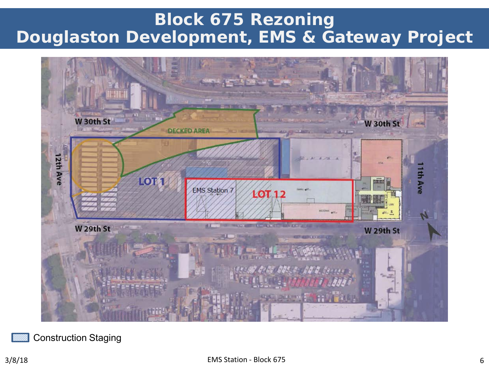## **Block 675 Rezoning Douglaston Development, EMS & Gateway Project**



Construction Staging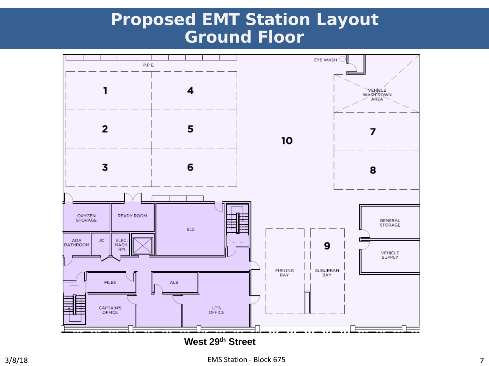## **Proposed EMT Station Layout Ground Floor**